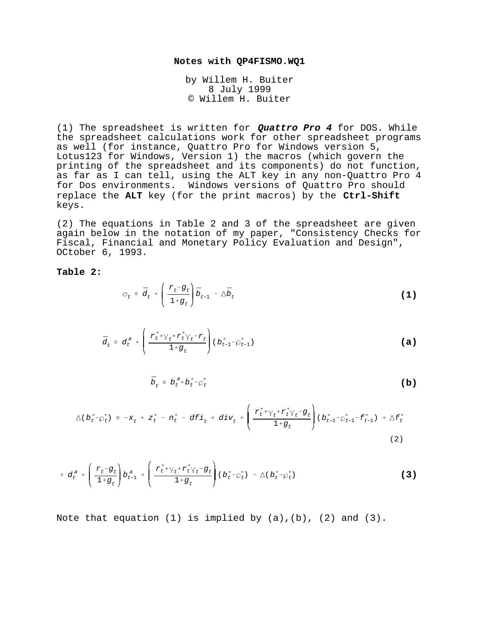## **Notes with QP4FISMO.WQ1**

by Willem H. Buiter 8 July 1999 © Willem H. Buiter

(1) The spreadsheet is written for **Quattro Pro 4** for DOS. While the spreadsheet calculations work for other spreadsheet programs as well (for instance, Quattro Pro for Windows version 5, Lotus123 for Windows, Version 1) the macros (which govern the printing of the spreadsheet and its components) do not function, as far as I can tell, using the ALT key in any non-Quattro Pro 4 for Dos environments. Windows versions of Quattro Pro should replace the **ALT** key (for the print macros) by the **Ctrl-Shift** keys.

(2) The equations in Table 2 and 3 of the spreadsheet are given again below in the notation of my paper, "Consistency Checks for Fiscal, Financial and Monetary Policy Evaluation and Design", OCtober 6, 1993.

## **Table 2:**

$$
\sigma_t = \bar{d}_t + \left(\frac{r_t - g_t}{1 + g_t}\right)\bar{b}_{t-1} - \Delta\bar{b}_t
$$
 (1)

$$
\bar{d}_t = d_t^a + \left(\frac{r_t^* + \gamma_t + r_t^* \gamma_t - r_t}{1 + g_t}\right) (b_{t-1}^* - \rho_{t-1}^*)
$$
 (a)

$$
\bar{b}_t \equiv b_t^{a} + b_t^{*} - \rho_t^{*} \tag{b}
$$

$$
\Delta(b_t^* - \rho_t^*) = -x_t + z_t^* - n_t^* - df_i + div_t + \left(\frac{r_t^* + \gamma_t + r_t^* \gamma_t - g_t}{1 + g_t}\right)(b_{t-1}^* - \rho_{t-1}^* - f_{t-1}^*) + \Delta f_t^*
$$
\n(2)

$$
\equiv d_t^a + \left(\frac{r_t - g_t}{1 + g_t}\right) b_{t-1}^a + \left(\frac{r_t^* + \gamma_t^* r_t^* \gamma_t - g_t}{1 + g_t}\right) (b_t^* - \rho_t^*) - \Delta (b_t^* - \rho_t^*)
$$
 (3)

Note that equation (1) is implied by  $(a)$ ,  $(b)$ ,  $(2)$  and  $(3)$ .